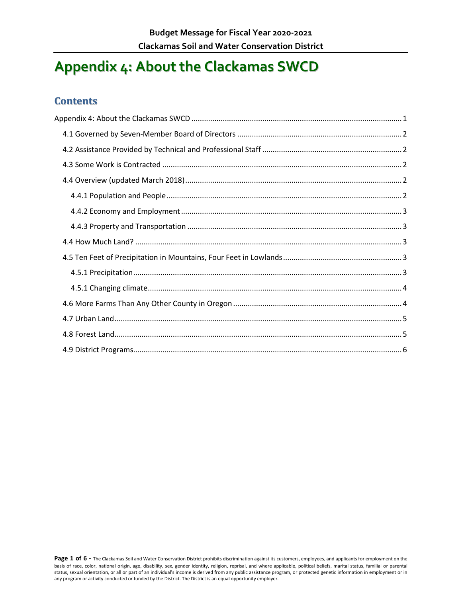# <span id="page-0-0"></span>**Appendix 4: About the Clackamas SWCD**

#### **Contents**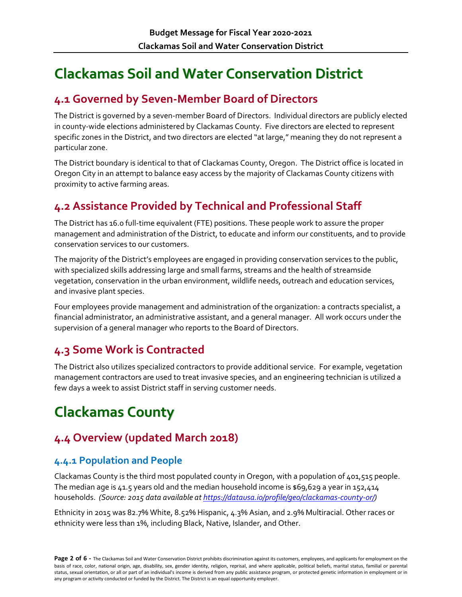# **Clackamas Soil and Water Conservation District**

### <span id="page-1-0"></span>**4.1 Governed by Seven-Member Board of Directors**

The District is governed by a seven-member Board of Directors. Individual directors are publicly elected in county-wide elections administered by Clackamas County. Five directors are elected to represent specific zones in the District, and two directors are elected "at large," meaning they do not represent a particular zone.

The District boundary is identical to that of Clackamas County, Oregon. The District office is located in Oregon City in an attempt to balance easy access by the majority of Clackamas County citizens with proximity to active farming areas.

## <span id="page-1-1"></span>**4.2 Assistance Provided by Technical and Professional Staff**

The District has 16.0 full-time equivalent (FTE) positions. These people work to assure the proper management and administration of the District, to educate and inform our constituents, and to provide conservation services to our customers.

The majority of the District's employees are engaged in providing conservation services to the public, with specialized skills addressing large and small farms, streams and the health of streamside vegetation, conservation in the urban environment, wildlife needs, outreach and education services, and invasive plant species.

Four employees provide management and administration of the organization: a contracts specialist, a financial administrator, an administrative assistant, and a general manager. All work occurs under the supervision of a general manager who reports to the Board of Directors.

### <span id="page-1-2"></span>**4.3 Some Work is Contracted**

The District also utilizes specialized contractors to provide additional service. For example, vegetation management contractors are used to treat invasive species, and an engineering technician is utilized a few days a week to assist District staff in serving customer needs.

# **Clackamas County**

# <span id="page-1-3"></span>**4.4 Overview (updated March 2018)**

#### <span id="page-1-4"></span>**4.4.1 Population and People**

Clackamas County is the third most populated county in Oregon, with a population of 401,515 people. The median age is 41.5 years old and the median household income is  $$69,629$  a year in 152,414 households. *(Source: 2015 data available a[t https://datausa.io/profile/geo/clackamas-county-or/\)](https://datausa.io/profile/geo/clackamas-county-or/)*

Ethnicity in 2015 was 82.7% White, 8.52% Hispanic, 4.3% Asian, and 2.9% Multiracial. Other races or ethnicity were less than 1%, including Black, Native, Islander, and Other.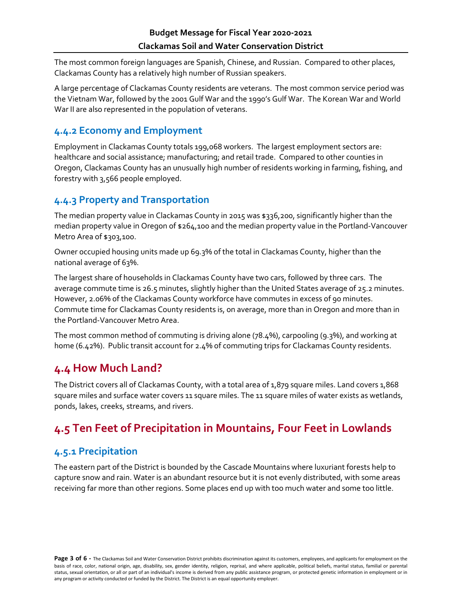The most common foreign languages are Spanish, Chinese, and Russian. Compared to other places, Clackamas County has a relatively high number of Russian speakers.

A large percentage of Clackamas County residents are veterans. The most common service period was the Vietnam War, followed by the 2001 Gulf War and the 1990's Gulf War. The Korean War and World War II are also represented in the population of veterans.

#### <span id="page-2-0"></span>**4.4.2 Economy and Employment**

Employment in Clackamas County totals 199,068 workers. The largest employment sectors are: healthcare and social assistance; manufacturing; and retail trade. Compared to other counties in Oregon, Clackamas County has an unusually high number of residents working in farming, fishing, and forestry with 3,566 people employed.

#### <span id="page-2-1"></span>**4.4.3 Property and Transportation**

The median property value in Clackamas County in 2015 was \$336,200, significantly higher than the median property value in Oregon of \$264,100 and the median property value in the Portland-Vancouver Metro Area of \$303,100.

Owner occupied housing units made up 69.3% of the total in Clackamas County, higher than the national average of 63%.

The largest share of households in Clackamas County have two cars, followed by three cars. The average commute time is 26.5 minutes, slightly higher than the United States average of 25.2 minutes. However, 2.06% of the Clackamas County workforce have commutes in excess of 90 minutes. Commute time for Clackamas County residents is, on average, more than in Oregon and more than in the Portland-Vancouver Metro Area.

The most common method of commuting is driving alone (78.4%), carpooling (9.3%), and working at home (6.42%). Public transit account for 2.4% of commuting trips for Clackamas County residents.

### <span id="page-2-2"></span>**4.4 How Much Land?**

The District covers all of Clackamas County, with a total area of 1,879 square miles. Land covers 1,868 square miles and surface water covers 11 square miles. The 11 square miles of water exists as wetlands, ponds, lakes, creeks, streams, and rivers.

# <span id="page-2-3"></span>**4.5 Ten Feet of Precipitation in Mountains, Four Feet in Lowlands**

#### <span id="page-2-4"></span>**4.5.1 Precipitation**

The eastern part of the District is bounded by the Cascade Mountains where luxuriant forests help to capture snow and rain. Water is an abundant resource but it is not evenly distributed, with some areas receiving far more than other regions. Some places end up with too much water and some too little.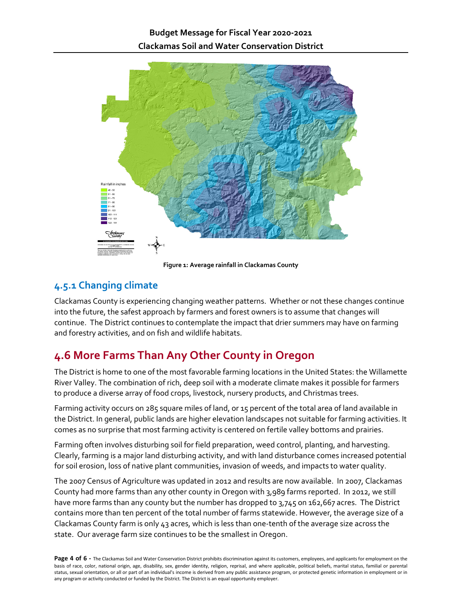

**Figure 1: Average rainfall in Clackamas County**

#### <span id="page-3-0"></span>**4.5.1 Changing climate**

Clackamas County is experiencing changing weather patterns. Whether or not these changes continue into the future, the safest approach by farmers and forest owners is to assume that changes will continue. The District continues to contemplate the impact that drier summers may have on farming and forestry activities, and on fish and wildlife habitats.

# <span id="page-3-1"></span>**4.6 More Farms Than Any Other County in Oregon**

The District is home to one of the most favorable farming locations in the United States: the Willamette River Valley. The combination of rich, deep soil with a moderate climate makes it possible for farmers to produce a diverse array of food crops, livestock, nursery products, and Christmas trees.

Farming activity occurs on 285 square miles of land, or 15 percent of the total area of land available in the District. In general, public lands are higher elevation landscapes not suitable for farming activities. It comes as no surprise that most farming activity is centered on fertile valley bottoms and prairies.

Farming often involves disturbing soil for field preparation, weed control, planting, and harvesting. Clearly, farming is a major land disturbing activity, and with land disturbance comes increased potential for soil erosion, loss of native plant communities, invasion of weeds, and impacts to water quality.

The 2007 Census of Agriculture was updated in 2012 and results are now available. In 2007, Clackamas County had more farms than any other county in Oregon with 3,989 farms reported. In 2012, we still have more farms than any county but the number has dropped to 3,745 on 162,667 acres. The District contains more than ten percent of the total number of farms statewide. However, the average size of a Clackamas County farm is only 43 acres, which is less than one-tenth of the average size across the state. Our average farm size continues to be the smallest in Oregon.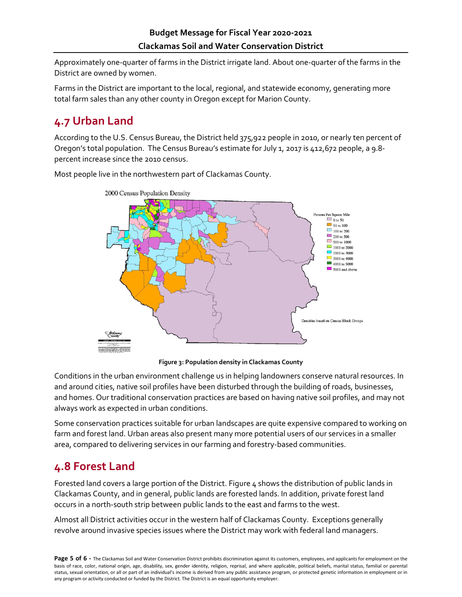Approximately one-quarter of farms in the District irrigate land. About one-quarter of the farms in the District are owned by women.

Farms in the District are important to the local, regional, and statewide economy, generating more total farm sales than any other county in Oregon except for Marion County.

# <span id="page-4-0"></span>**4.7 Urban Land**

According to the U.S. Census Bureau, the District held 375,922 people in 2010, or nearly ten percent of Oregon's total population. The Census Bureau's estimate for July 1, 2017 is 412,672 people, a 9.8 percent increase since the 2010 census.

Most people live in the northwestern part of Clackamas County.



**Figure 3: Population density in Clackamas County**

Conditions in the urban environment challenge us in helping landowners conserve natural resources. In and around cities, native soil profiles have been disturbed through the building of roads, businesses, and homes. Our traditional conservation practices are based on having native soil profiles, and may not always work as expected in urban conditions.

Some conservation practices suitable for urban landscapes are quite expensive compared to working on farm and forest land. Urban areas also present many more potential users of our services in a smaller area, compared to delivering services in our farming and forestry-based communities.

### <span id="page-4-1"></span>**4.8 Forest Land**

Forested land covers a large portion of the District. Figure 4 shows the distribution of public lands in Clackamas County, and in general, public lands are forested lands. In addition, private forest land occurs in a north-south strip between public lands to the east and farms to the west.

Almost all District activities occur in the western half of Clackamas County. Exceptions generally revolve around invasive species issues where the District may work with federal land managers.

Page 5 of 6 - The Clackamas Soil and Water Conservation District prohibits discrimination against its customers, employees, and applicants for employment on the basis of race, color, national origin, age, disability, sex, gender identity, religion, reprisal, and where applicable, political beliefs, marital status, familial or parental status, sexual orientation, or all or part of an individual's income is derived from any public assistance program, or protected genetic information in employment or in any program or activity conducted or funded by the District. The District is an equal opportunity employer.